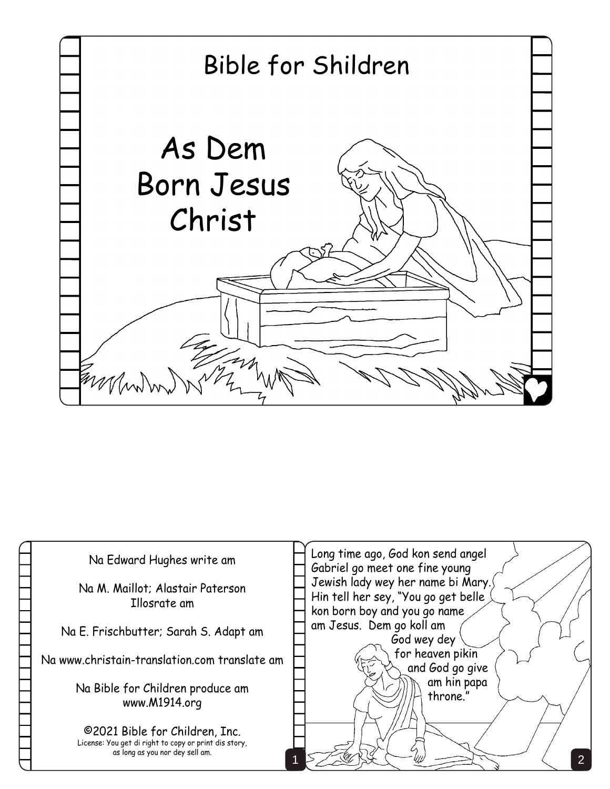

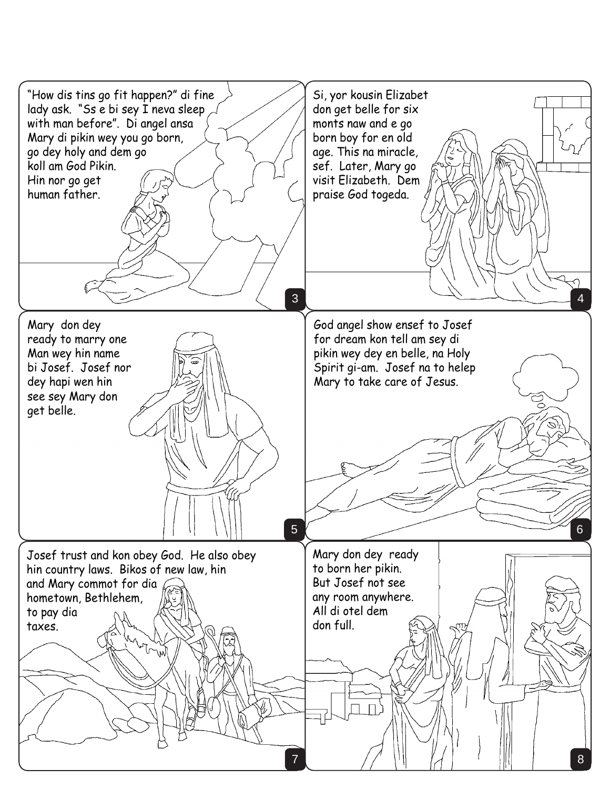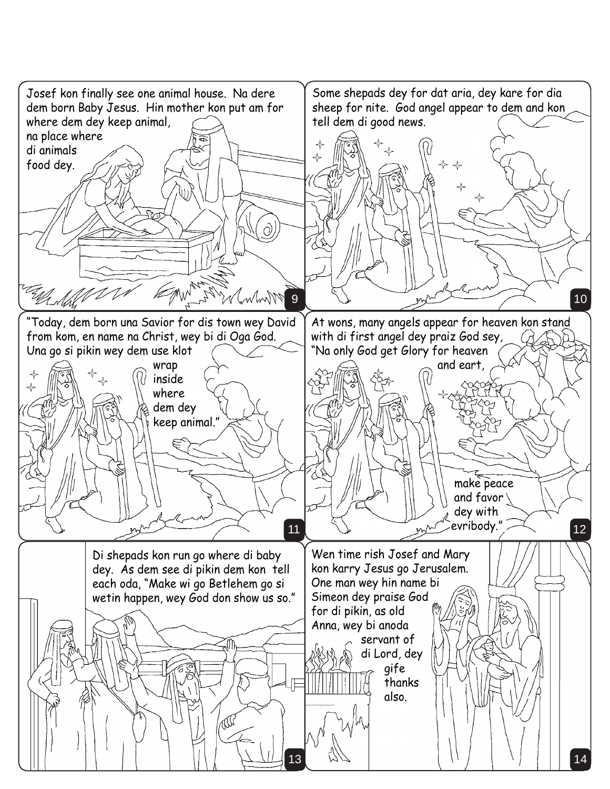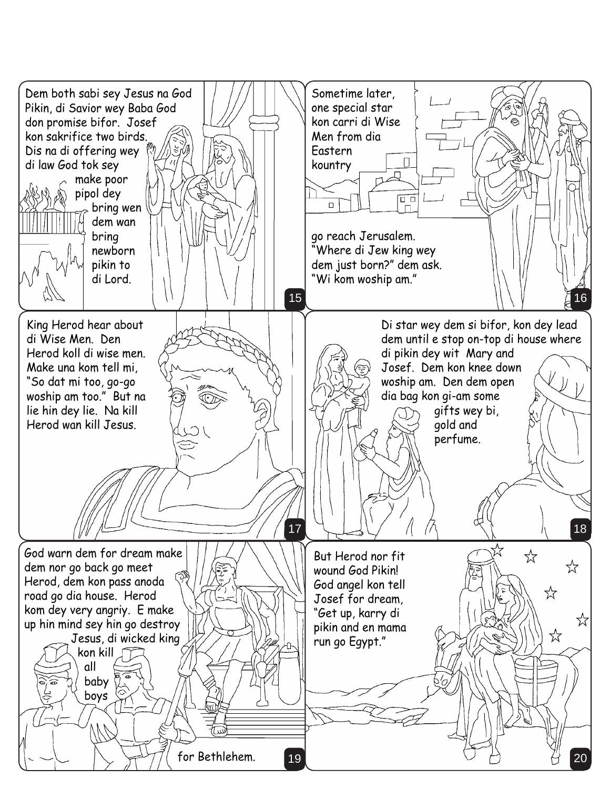